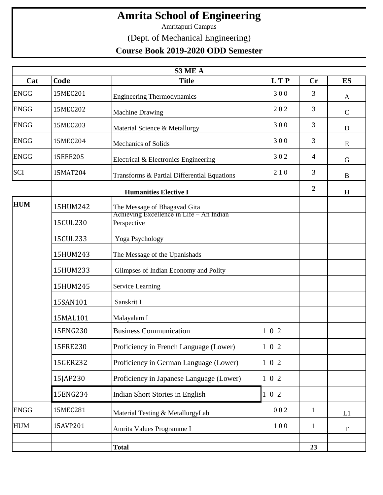## **Amrita School of Engineering**

Amritapuri Campus

(Dept. of Mechanical Engineering)

## **Course Book 2019-2020 ODD Semester**

| S3 ME A     |          |                                                                          |                  |              |              |  |
|-------------|----------|--------------------------------------------------------------------------|------------------|--------------|--------------|--|
| Cat         | Code     | <b>Title</b>                                                             | <b>LTP</b>       | Cr           | <b>ES</b>    |  |
| <b>ENGG</b> | 15MEC201 | <b>Engineering Thermodynamics</b>                                        | 300              | 3            | A            |  |
| <b>ENGG</b> | 15MEC202 | <b>Machine Drawing</b>                                                   | 202              | 3            | $\mathsf{C}$ |  |
| <b>ENGG</b> | 15MEC203 | Material Science & Metallurgy                                            | 300              | 3            | D            |  |
| <b>ENGG</b> | 15MEC204 | <b>Mechanics of Solids</b>                                               | 300              | 3            | E            |  |
| <b>ENGG</b> | 15EEE205 | Electrical & Electronics Engineering                                     | 302              | 4            | G            |  |
| SCI         | 15MAT204 | Transforms & Partial Differential Equations                              | 210              | 3            | B            |  |
|             |          |                                                                          | $\boldsymbol{2}$ | H            |              |  |
| <b>HUM</b>  | 15HUM242 | The Message of Bhagavad Gita<br>Achieving Excellence in Life - An Indian |                  |              |              |  |
|             | 15CUL230 | Perspective                                                              |                  |              |              |  |
|             | 15CUL233 | Yoga Psychology                                                          |                  |              |              |  |
|             | 15HUM243 | The Message of the Upanishads                                            |                  |              |              |  |
|             | 15HUM233 | Glimpses of Indian Economy and Polity                                    |                  |              |              |  |
|             | 15HUM245 | <b>Service Learning</b>                                                  |                  |              |              |  |
|             | 15SAN101 | Sanskrit I                                                               |                  |              |              |  |
|             | 15MAL101 | Malayalam I                                                              |                  |              |              |  |
|             | 15ENG230 | <b>Business Communication</b>                                            | 102              |              |              |  |
|             | 15FRE230 | Proficiency in French Language (Lower)                                   | $1 \t0 \t2$      |              |              |  |
|             | 15GER232 | Proficiency in German Language (Lower)                                   | $1 \t0 \t2$      |              |              |  |
|             | 15JAP230 | Proficiency in Japanese Language (Lower)                                 | $1 \t0 \t2$      |              |              |  |
|             | 15ENG234 | Indian Short Stories in English                                          | $1 \t0 \t2$      |              |              |  |
| <b>ENGG</b> | 15MEC281 | Material Testing & MetallurgyLab                                         | 002              | $\mathbf{1}$ | L1           |  |
| <b>HUM</b>  | 15AVP201 | Amrita Values Programme I                                                | 100              | $\mathbf{1}$ | $\mathbf F$  |  |
|             |          |                                                                          |                  |              |              |  |
|             |          | <b>Total</b>                                                             |                  | 23           |              |  |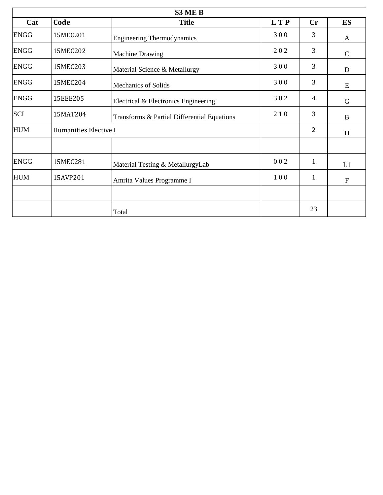| S3 ME B     |                       |                                             |            |                |                           |  |
|-------------|-----------------------|---------------------------------------------|------------|----------------|---------------------------|--|
| Cat         | Code                  | <b>Title</b>                                | <b>LTP</b> | Cr             | <b>ES</b>                 |  |
| <b>ENGG</b> | 15MEC201              | <b>Engineering Thermodynamics</b>           | 300        | 3              | A                         |  |
| <b>ENGG</b> | 15MEC202              | <b>Machine Drawing</b>                      | 202        | 3              | $\mathbf C$               |  |
| <b>ENGG</b> | 15MEC203              | Material Science & Metallurgy               | 300        | 3              | D                         |  |
| <b>ENGG</b> | 15MEC204              | <b>Mechanics of Solids</b>                  | 300        | 3              | E                         |  |
| <b>ENGG</b> | 15EEE205              | Electrical & Electronics Engineering        | 302        | $\overline{4}$ | $\mathbf G$               |  |
| SCI         | 15MAT204              | Transforms & Partial Differential Equations | 210        | 3              | $\bf{B}$                  |  |
| <b>HUM</b>  | Humanities Elective I |                                             |            | $\overline{2}$ | H                         |  |
|             |                       |                                             |            |                |                           |  |
| <b>ENGG</b> | 15MEC281              | Material Testing & MetallurgyLab            | 002        | $\mathbf{1}$   | L1                        |  |
| <b>HUM</b>  | 15AVP201              | Amrita Values Programme I                   | 100        | $\mathbf{1}$   | $\boldsymbol{\mathrm{F}}$ |  |
|             |                       |                                             |            |                |                           |  |
|             |                       | Total                                       |            | 23             |                           |  |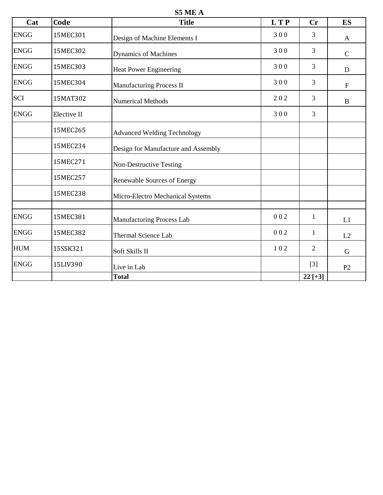**S5 ME A**

| Cat         | Code        | <b>Title</b>                        | <b>LTP</b> | <b>Cr</b>      | ES             |
|-------------|-------------|-------------------------------------|------------|----------------|----------------|
| <b>ENGG</b> | 15MEC301    | Design of Machine Elements I        | 300        | 3              | $\mathbf{A}$   |
| <b>ENGG</b> | 15MEC302    | Dynamics of Machines                | 300        | 3              | $\mathbf C$    |
| <b>ENGG</b> | 15MEC303    | <b>Heat Power Engineering</b>       | 300        | 3              | D              |
| <b>ENGG</b> | 15MEC304    | Manufacturing Process II            | 300        | 3              | $\mathbf F$    |
| <b>SCI</b>  | 15MAT302    | <b>Numerical Methods</b>            | 202        | 3              | B              |
| <b>ENGG</b> | Elective II |                                     | 300        | 3              |                |
|             | 15MEC265    | <b>Advanced Welding Technology</b>  |            |                |                |
|             | 15MEC234    | Design for Manufacture and Assembly |            |                |                |
|             | 15MEC271    | Non-Destructive Testing             |            |                |                |
|             | 15MEC257    | Renewable Sources of Energy         |            |                |                |
|             | 15MEC238    | Micro-Electro Mechanical Systems    |            |                |                |
| <b>ENGG</b> | 15MEC381    | Manufacturing Process Lab           | 002        | $\mathbf{1}$   | L1             |
| <b>ENGG</b> | 15MEC382    | Thermal Science Lab                 | 002        | 1              | L2             |
| <b>HUM</b>  | 15SSK321    | Soft Skills II                      | 102        | $\overline{2}$ | G              |
| <b>ENGG</b> | 15LIV390    | Live in Lab                         |            | $[3]$          | P <sub>2</sub> |
|             |             | <b>Total</b>                        |            | $22$ [+3]      |                |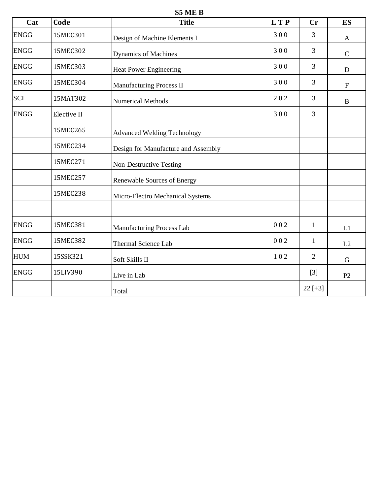**S5 ME B**

| Cat         | Code        | <b>Title</b>                        | <b>LTP</b> | <b>Cr</b>      | <b>ES</b>    |
|-------------|-------------|-------------------------------------|------------|----------------|--------------|
| <b>ENGG</b> | 15MEC301    | Design of Machine Elements I        | 300        | 3              | $\mathbf{A}$ |
| <b>ENGG</b> | 15MEC302    | <b>Dynamics of Machines</b>         | 300        | $\overline{3}$ | $\mathbf C$  |
| <b>ENGG</b> | 15MEC303    | <b>Heat Power Engineering</b>       | 300        | 3              | $\mathbf D$  |
| <b>ENGG</b> | 15MEC304    | Manufacturing Process II            | 300        | 3              | ${\bf F}$    |
| <b>SCI</b>  | 15MAT302    | <b>Numerical Methods</b>            | 202        | $\overline{3}$ | $\bf{B}$     |
| <b>ENGG</b> | Elective II |                                     | 300        | $\overline{3}$ |              |
|             | 15MEC265    | <b>Advanced Welding Technology</b>  |            |                |              |
|             | 15MEC234    | Design for Manufacture and Assembly |            |                |              |
|             | 15MEC271    | Non-Destructive Testing             |            |                |              |
|             | 15MEC257    | Renewable Sources of Energy         |            |                |              |
|             | 15MEC238    | Micro-Electro Mechanical Systems    |            |                |              |
| <b>ENGG</b> | 15MEC381    | Manufacturing Process Lab           | 002        | $\mathbf{1}$   | L1           |
| <b>ENGG</b> | 15MEC382    | Thermal Science Lab                 | 002        | $\mathbf{1}$   | L2           |
| <b>HUM</b>  | 15SSK321    | Soft Skills II                      | 102        | $\overline{2}$ | G            |
| <b>ENGG</b> | 15LIV390    | Live in Lab                         |            | $[3]$          | P2           |
|             |             | Total                               |            | $22[+3]$       |              |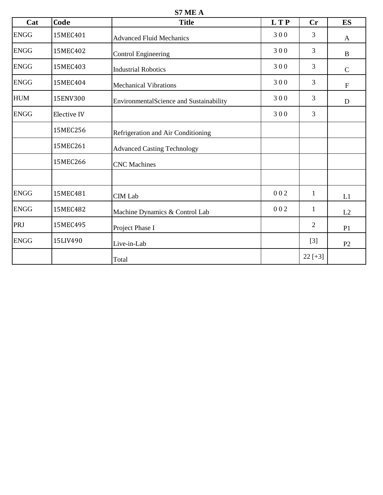**S7 ME A**

| Cat         | Code        | <b>Title</b>                            | <b>LTP</b> | Cr             | <b>ES</b>                 |
|-------------|-------------|-----------------------------------------|------------|----------------|---------------------------|
| <b>ENGG</b> | 15MEC401    | <b>Advanced Fluid Mechanics</b>         | 300        | 3              | A                         |
| <b>ENGG</b> | 15MEC402    | <b>Control Engineering</b>              | 300        | 3              | B                         |
| <b>ENGG</b> | 15MEC403    | <b>Industrial Robotics</b>              | 300        | $\overline{3}$ | $\mathsf{C}$              |
| <b>ENGG</b> | 15MEC404    | <b>Mechanical Vibrations</b>            | 300        | 3              | $\boldsymbol{\mathrm{F}}$ |
| <b>HUM</b>  | 15ENV300    | EnvironmentalScience and Sustainability | 300        | 3              | D                         |
| <b>ENGG</b> | Elective IV |                                         | 300        | 3              |                           |
|             | 15MEC256    | Refrigeration and Air Conditioning      |            |                |                           |
|             | 15MEC261    | <b>Advanced Casting Technology</b>      |            |                |                           |
|             | 15MEC266    | <b>CNC</b> Machines                     |            |                |                           |
|             |             |                                         |            |                |                           |
| <b>ENGG</b> | 15MEC481    | <b>CIM Lab</b>                          | 002        | 1              | L1                        |
| <b>ENGG</b> | 15MEC482    | Machine Dynamics & Control Lab          | 002        | $\mathbf{1}$   | L2                        |
| PRJ         | 15MEC495    | Project Phase I                         |            | $\overline{2}$ | P1                        |
| <b>ENGG</b> | 15LIV490    | Live-in-Lab                             |            | $[3]$          | P <sub>2</sub>            |
|             |             | Total                                   |            | $22[+3]$       |                           |